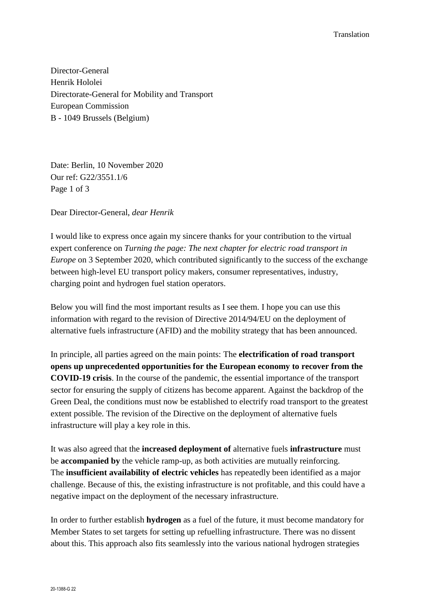Director-General Henrik Hololei Directorate-General for Mobility and Transport European Commission B - 1049 Brussels (Belgium)

Date: Berlin, 10 November 2020 Our ref: G22/3551.1/6 Page 1 of 3

Dear Director-General, *dear Henrik*

I would like to express once again my sincere thanks for your contribution to the virtual expert conference on *Turning the page: The next chapter for electric road transport in Europe* on 3 September 2020, which contributed significantly to the success of the exchange between high-level EU transport policy makers, consumer representatives, industry, charging point and hydrogen fuel station operators.

Below you will find the most important results as I see them. I hope you can use this information with regard to the revision of Directive 2014/94/EU on the deployment of alternative fuels infrastructure (AFID) and the mobility strategy that has been announced.

In principle, all parties agreed on the main points: The **electrification of road transport opens up unprecedented opportunities for the European economy to recover from the COVID-19 crisis**. In the course of the pandemic, the essential importance of the transport sector for ensuring the supply of citizens has become apparent. Against the backdrop of the Green Deal, the conditions must now be established to electrify road transport to the greatest extent possible. The revision of the Directive on the deployment of alternative fuels infrastructure will play a key role in this.

It was also agreed that the **increased deployment of** alternative fuels **infrastructure** must be **accompanied by** the vehicle ramp-up, as both activities are mutually reinforcing. The **insufficient availability of electric vehicles** has repeatedly been identified as a major challenge. Because of this, the existing infrastructure is not profitable, and this could have a negative impact on the deployment of the necessary infrastructure.

In order to further establish **hydrogen** as a fuel of the future, it must become mandatory for Member States to set targets for setting up refuelling infrastructure. There was no dissent about this. This approach also fits seamlessly into the various national hydrogen strategies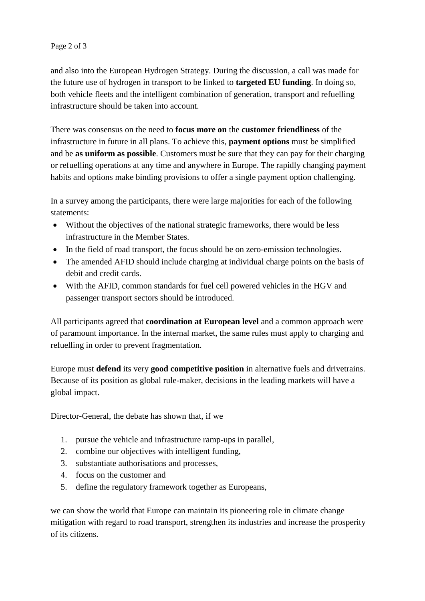## Page 2 of 3

and also into the European Hydrogen Strategy. During the discussion, a call was made for the future use of hydrogen in transport to be linked to **targeted EU funding**. In doing so, both vehicle fleets and the intelligent combination of generation, transport and refuelling infrastructure should be taken into account.

There was consensus on the need to **focus more on** the **customer friendliness** of the infrastructure in future in all plans. To achieve this, **payment options** must be simplified and be **as uniform as possible**. Customers must be sure that they can pay for their charging or refuelling operations at any time and anywhere in Europe. The rapidly changing payment habits and options make binding provisions to offer a single payment option challenging.

In a survey among the participants, there were large majorities for each of the following statements:

- Without the objectives of the national strategic frameworks, there would be less infrastructure in the Member States.
- In the field of road transport, the focus should be on zero-emission technologies.
- The amended AFID should include charging at individual charge points on the basis of debit and credit cards.
- With the AFID, common standards for fuel cell powered vehicles in the HGV and passenger transport sectors should be introduced.

All participants agreed that **coordination at European level** and a common approach were of paramount importance. In the internal market, the same rules must apply to charging and refuelling in order to prevent fragmentation.

Europe must **defend** its very **good competitive position** in alternative fuels and drivetrains. Because of its position as global rule-maker, decisions in the leading markets will have a global impact.

Director-General, the debate has shown that, if we

- 1. pursue the vehicle and infrastructure ramp-ups in parallel,
- 2. combine our objectives with intelligent funding,
- 3. substantiate authorisations and processes,
- 4. focus on the customer and
- 5. define the regulatory framework together as Europeans,

we can show the world that Europe can maintain its pioneering role in climate change mitigation with regard to road transport, strengthen its industries and increase the prosperity of its citizens.